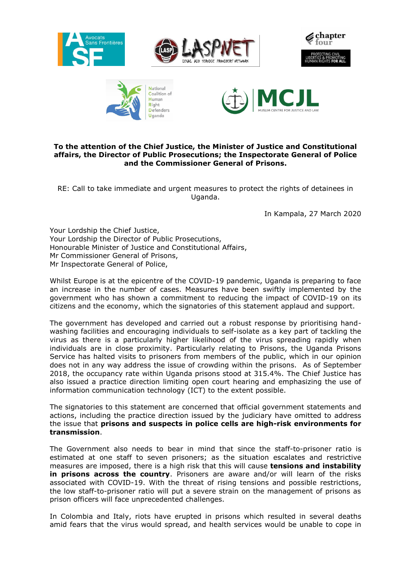





## **To the attention of the Chief Justice, the Minister of Justice and Constitutional affairs, the Director of Public Prosecutions; the Inspectorate General of Police and the Commissioner General of Prisons.**

RE: Call to take immediate and urgent measures to protect the rights of detainees in Uganda.

In Kampala, 27 March 2020

Your Lordship the Chief Justice, Your Lordship the Director of Public Prosecutions, Honourable Minister of Justice and Constitutional Affairs, Mr Commissioner General of Prisons, Mr Inspectorate General of Police,

Whilst Europe is at the epicentre of the COVID-19 pandemic, Uganda is preparing to face an increase in the number of cases. Measures have been swiftly implemented by the government who has shown a commitment to reducing the impact of COVID-19 on its citizens and the economy, which the signatories of this statement applaud and support.

The government has developed and carried out a robust response by prioritising handwashing facilities and encouraging individuals to self-isolate as a key part of tackling the virus as there is a particularly higher likelihood of the virus spreading rapidly when individuals are in close proximity. Particularly relating to Prisons, the Uganda Prisons Service has halted visits to prisoners from members of the public, which in our opinion does not in any way address the issue of crowding within the prisons. As of September 2018, the occupancy rate within Uganda prisons stood at 315.4%. The Chief Justice has also issued a practice direction limiting open court hearing and emphasizing the use of information communication technology (ICT) to the extent possible.

The signatories to this statement are concerned that official government statements and actions, including the practice direction issued by the judiciary have omitted to address the issue that **prisons and suspects in police cells are high-risk environments for transmission**.

The Government also needs to bear in mind that since the staff-to-prisoner ratio is estimated at one staff to seven prisoners; as the situation escalates and restrictive measures are imposed, there is a high risk that this will cause **tensions and instability in prisons across the country**. Prisoners are aware and/or will learn of the risks associated with COVID-19. With the threat of rising tensions and possible restrictions, the low staff-to-prisoner ratio will put a severe strain on the management of prisons as prison officers will face unprecedented challenges.

In Colombia and Italy, riots have erupted in prisons which resulted in several deaths amid fears that the virus would spread, and health services would be unable to cope in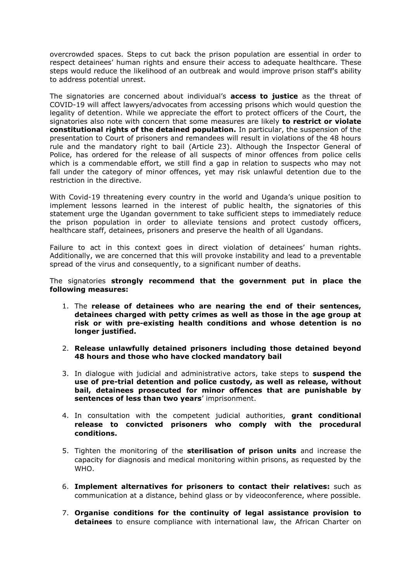overcrowded spaces. Steps to cut back the prison population are essential in order to respect detainees' human rights and ensure their access to adequate healthcare. These steps would reduce the likelihood of an outbreak and would improve prison staff's ability to address potential unrest.

The signatories are concerned about individual's **access to justice** as the threat of COVID-19 will affect lawyers/advocates from accessing prisons which would question the legality of detention. While we appreciate the effort to protect officers of the Court, the signatories also note with concern that some measures are likely **to restrict or violate constitutional rights of the detained population.** In particular, the suspension of the presentation to Court of prisoners and remandees will result in violations of the 48 hours rule and the mandatory right to bail (Article 23). Although the Inspector General of Police, has ordered for the release of all suspects of minor offences from police cells which is a commendable effort, we still find a gap in relation to suspects who may not fall under the category of minor offences, yet may risk unlawful detention due to the restriction in the directive.

With Covid-19 threatening every country in the world and Uganda's unique position to implement lessons learned in the interest of public health, the signatories of this statement urge the Ugandan government to take sufficient steps to immediately reduce the prison population in order to alleviate tensions and protect custody officers, healthcare staff, detainees, prisoners and preserve the health of all Ugandans.

Failure to act in this context goes in direct violation of detainees' human rights. Additionally, we are concerned that this will provoke instability and lead to a preventable spread of the virus and consequently, to a significant number of deaths.

The signatories **strongly recommend that the government put in place the following measures:**

- 1. The **release of detainees who are nearing the end of their sentences, detainees charged with petty crimes as well as those in the age group at risk or with pre-existing health conditions and whose detention is no longer justified.**
- 2. **Release unlawfully detained prisoners including those detained beyond 48 hours and those who have clocked mandatory bail**
- 3. In dialogue with judicial and administrative actors, take steps to **suspend the use of pre-trial detention and police custody, as well as release, without bail, detainees prosecuted for minor offences that are punishable by sentences of less than two years**' imprisonment.
- 4. In consultation with the competent judicial authorities, **grant conditional release to convicted prisoners who comply with the procedural conditions.**
- 5. Tighten the monitoring of the **sterilisation of prison units** and increase the capacity for diagnosis and medical monitoring within prisons, as requested by the WHO.
- 6. **Implement alternatives for prisoners to contact their relatives:** such as communication at a distance, behind glass or by videoconference, where possible.
- 7. **Organise conditions for the continuity of legal assistance provision to detainees** to ensure compliance with international law, the African Charter on